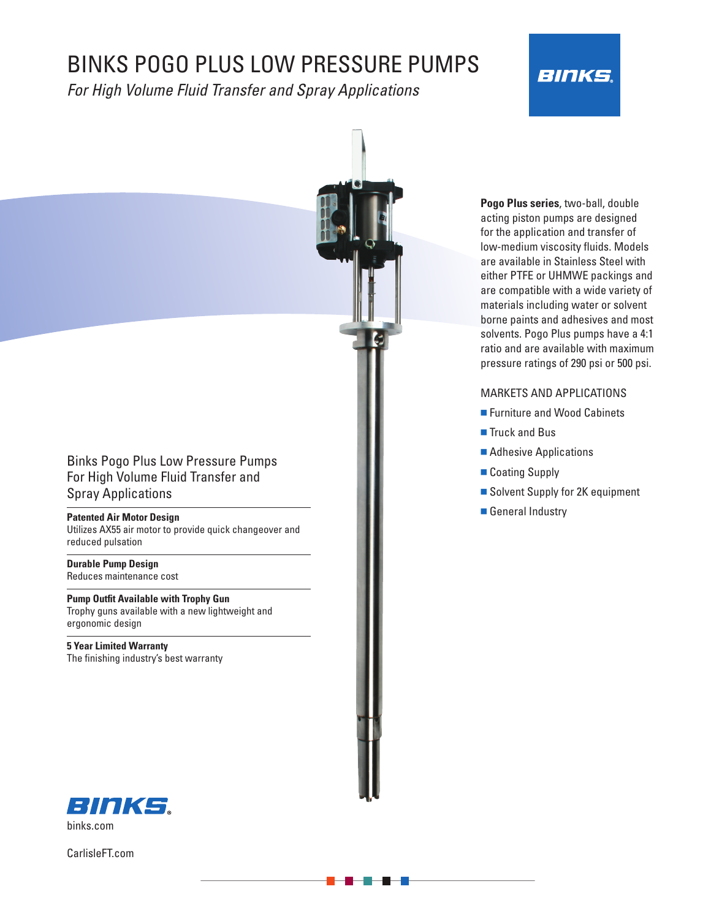# BINKS POGO PLUS LOW PRESSURE PUMPS

*For High Volume Fluid Transfer and Spray Applications*





#### MARKETS AND APPLICATIONS

- Furniture and Wood Cabinets
- Truck and Bus
- Adhesive Applications
- Coating Supply
- Solvent Supply for 2K equipment
- **n** General Industry

# Binks Pogo Plus Low Pressure Pumps For High Volume Fluid Transfer and Spray Applications

#### **Patented Air Motor Design**

Utilizes AX55 air motor to provide quick changeover and reduced pulsation

**Durable Pump Design**  Reduces maintenance cost

**Pump Outfit Available with Trophy Gun**  Trophy guns available with a new lightweight and ergonomic design

**5 Year Limited Warranty**  The finishing industry's best warranty



CarlisleFT.com